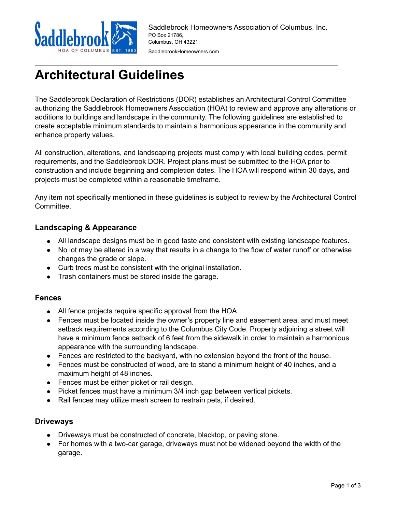

# **Architectural Guidelines**

The Saddlebrook Declaration of Restrictions (DOR) establishes an Architectural Control Committee authorizing the Saddlebrook Homeowners Association (HOA) to review and approve any alterations or additions to buildings and landscape in the community. The following guidelines are established to create acceptable minimum standards to maintain a harmonious appearance in the community and enhance property values.

All construction, alterations, and landscaping projects must comply with local building codes, permit requirements, and the Saddlebrook DOR. Project plans must be submitted to the HOA prior to construction and include beginning and completion dates. The HOA will respond within 30 days, and projects must be completed within a reasonable timeframe.

Any item not specifically mentioned in these guidelines is subject to review by the Architectural Control Committee.

## **Landscaping & Appearance**

- All landscape designs must be in good taste and consistent with existing landscape features.
- No lot may be altered in a way that results in a change to the flow of water runoff or otherwise changes the grade or slope.
- Curb trees must be consistent with the original installation.
- Trash containers must be stored inside the garage.

## **Fences**

- All fence projects require specific approval from the HOA.
- Fences must be located inside the owner's property line and easement area, and must meet setback requirements according to the Columbus City Code. Property adjoining a street will have a minimum fence setback of 6 feet from the sidewalk in order to maintain a harmonious appearance with the surrounding landscape.
- Fences are restricted to the backyard, with no extension beyond the front of the house.
- Fences must be constructed of wood, are to stand a minimum height of 40 inches, and a maximum height of 48 inches.
- Fences must be either picket or rail design.
- Picket fences must have a minimum 3/4 inch gap between vertical pickets.
- Rail fences may utilize mesh screen to restrain pets, if desired.

## **Driveways**

- Driveways must be constructed of concrete, blacktop, or paving stone.
- For homes with a two-car garage, driveways must not be widened beyond the width of the garage.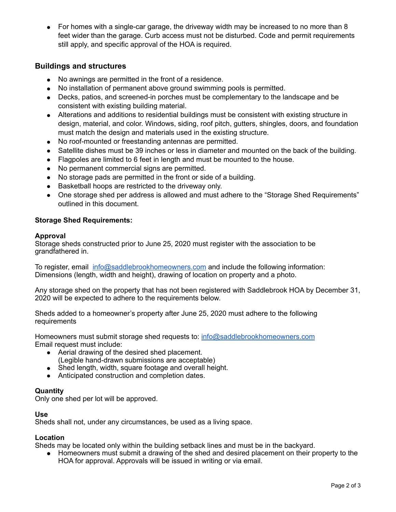• For homes with a single-car garage, the driveway width may be increased to no more than 8 feet wider than the garage. Curb access must not be disturbed. Code and permit requirements still apply, and specific approval of the HOA is required.

## **Buildings and structures**

- No awnings are permitted in the front of a residence.
- No installation of permanent above ground swimming pools is permitted.
- Decks, patios, and screened-in porches must be complementary to the landscape and be consistent with existing building material.
- Alterations and additions to residential buildings must be consistent with existing structure in design, material, and color. Windows, siding, roof pitch, gutters, shingles, doors, and foundation must match the design and materials used in the existing structure.
- No roof-mounted or freestanding antennas are permitted.
- Satellite dishes must be 39 inches or less in diameter and mounted on the back of the building.
- Flagpoles are limited to 6 feet in length and must be mounted to the house.
- No permanent commercial signs are permitted.
- No storage pads are permitted in the front or side of a building.
- Basketball hoops are restricted to the driveway only.
- One storage shed per address is allowed and must adhere to the "Storage Shed Requirements" outlined in this document.

# **Storage Shed Requirements:**

#### **Approval**

Storage sheds constructed prior to June 25, 2020 must register with the association to be grandfathered in.

To register, email [info@saddlebrookhomeowners.com](mailto:info@saddlebrookhomeowners.com) and include the following information: Dimensions (length, width and height), drawing of location on property and a photo.

Any storage shed on the property that has not been registered with Saddlebrook HOA by December 31, 2020 will be expected to adhere to the requirements below.

Sheds added to a homeowner's property after June 25, 2020 must adhere to the following requirements

Homeowners must submit storage shed requests to: [info@saddlebrookhomeowners.com](mailto:info@saddlebrookhomeowners.com) Email request must include:

- Aerial drawing of the desired shed placement.
- (Legible hand-drawn submissions are acceptable)
- Shed length, width, square footage and overall height.
- Anticipated construction and completion dates.

## **Quantity**

Only one shed per lot will be approved.

## **Use**

Sheds shall not, under any circumstances, be used as a living space.

## **Location**

Sheds may be located only within the building setback lines and must be in the backyard.

● Homeowners must submit a drawing of the shed and desired placement on their property to the HOA for approval. Approvals will be issued in writing or via email.